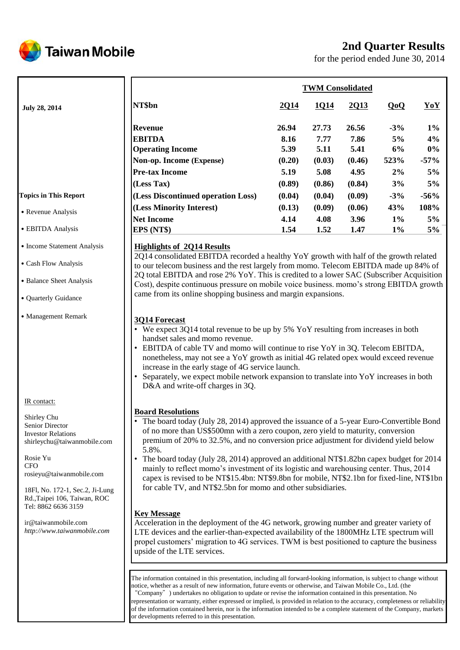

# **2nd Quarter Results**

for the period ended June 30, 2014

|                        | <b>TWM Consolidated</b>            |        |        |        |       |        |  |  |
|------------------------|------------------------------------|--------|--------|--------|-------|--------|--|--|
| <b>July 28, 2014</b>   | NT\$bn                             | 2014   | 1Q14   | 2013   | QoQ   | YoY    |  |  |
|                        | <b>Revenue</b>                     | 26.94  | 27.73  | 26.56  | $-3%$ | $1\%$  |  |  |
|                        | <b>EBITDA</b>                      | 8.16   | 7.77   | 7.86   | 5%    | 4%     |  |  |
|                        | <b>Operating Income</b>            | 5.39   | 5.11   | 5.41   | 6%    | $0\%$  |  |  |
|                        | Non-op. Income (Expense)           | (0.20) | (0.03) | (0.46) | 523%  | $-57%$ |  |  |
|                        | <b>Pre-tax Income</b>              | 5.19   | 5.08   | 4.95   | 2%    | 5%     |  |  |
|                        | (Less Tax)                         | (0.89) | (0.86) | (0.84) | 3%    | 5%     |  |  |
| opics in This Report   | (Less Discontinued operation Loss) | (0.04) | (0.04) | (0.09) | $-3%$ | $-56%$ |  |  |
| Revenue Analysis       | (Less Minority Interest)           | (0.13) | (0.09) | (0.06) | 43%   | 108%   |  |  |
|                        | <b>Net Income</b>                  | 4.14   | 4.08   | 3.96   | $1\%$ | 5%     |  |  |
| <b>EBITDA</b> Analysis | EPS (NT\$)                         | 1.54   | 1.52   | 1.47   | $1\%$ | 5%     |  |  |

### **Highlights of 2Q14 Results**

2Q14 consolidated EBITDA recorded a healthy YoY growth with half of the growth related to our telecom business and the rest largely from momo. Telecom EBITDA made up 84% of 2Q total EBITDA and rose 2% YoY. This is credited to a lower SAC (Subscriber Acquisition Cost), despite continuous pressure on mobile voice business. momo's strong EBITDA growth came from its online shopping business and margin expansions.

## **3Q14 Forecast**

- We expect 3Q14 total revenue to be up by 5% YoY resulting from increases in both handset sales and momo revenue.
- EBITDA of cable TV and momo will continue to rise YoY in 3Q. Telecom EBITDA, nonetheless, may not see a YoY growth as initial 4G related opex would exceed revenue increase in the early stage of 4G service launch.
- Separately, we expect mobile network expansion to translate into YoY increases in both D&A and write-off charges in 3Q.

### **Board Resolutions**

- The board today (July 28, 2014) approved the issuance of a 5-year Euro-Convertible Bond of no more than US\$500mn with a zero coupon, zero yield to maturity, conversion premium of 20% to 32.5%, and no conversion price adjustment for dividend yield below 5.8%.
- The board today (July 28, 2014) approved an additional NT\$1.82bn capex budget for 2014 mainly to reflect momo's investment of its logistic and warehousing center. Thus, 2014 capex is revised to be NT\$15.4bn: NT\$9.8bn for mobile, NT\$2.1bn for fixed-line, NT\$1bn for cable TV, and NT\$2.5bn for momo and other subsidiaries.

## **Key Message**

Acceleration in the deployment of the 4G network, growing number and greater variety of LTE devices and the earlier-than-expected availability of the 1800MHz LTE spectrum will propel customers' migration to 4G services. TWM is best positioned to capture the business upside of the LTE services.

The information contained in this presentation, including all forward-looking information, is subject to change without notice, whether as a result of new information, future events or otherwise, and Taiwan Mobile Co., Ltd. (the "Company") undertakes no obligation to update or revise the information contained in this presentation. No representation or warranty, either expressed or implied, is provided in relation to the accuracy, completeness or reliability of the information contained herein, nor is the information intended to be a complete statement of the Company, markets or developments referred to in this presentation.

#### T<sub>0</sub>

˙Revenue Analysis

- ˙EBITDA Analysis
- Income Statement Analysis
- ˙Cash Flow Analysis
- ˙Balance Sheet Analysis
- ˙Quarterly Guidance
- ˙Management Remark

IR contact:

Shirley Chu Senior Director Investor Relations shirleychu@taiwanmobile.com

Rosie Yu **CFO** rosieyu@taiwanmobile.com

18Fl, No. 172-1, Sec.2, Ji-Lung Rd.,Taipei 106, Taiwan, ROC Tel: 8862 6636 3159

ir@taiwanmobile.com *http://www.taiwanmobile.com*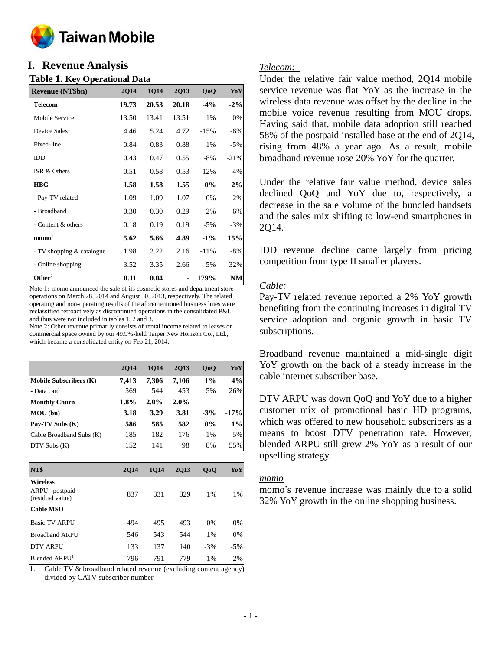

### **o I. Revenue Analysis**

### **Table 1. Key Operational Data**

| <b>Revenue (NT\$bn)</b>   | <b>2Q14</b> | 1Q14  | <b>2Q13</b> | QoQ    | YoY       |
|---------------------------|-------------|-------|-------------|--------|-----------|
| <b>Telecom</b>            | 19.73       | 20.53 | 20.18       | $-4%$  | $-2\%$    |
| Mobile Service            | 13.50       | 13.41 | 13.51       | 1%     | 0%        |
| Device Sales              | 4.46        | 5.24  | 4.72        | $-15%$ | $-6%$     |
| Fixed-line                | 0.84        | 0.83  | 0.88        | 1%     | $-5%$     |
| IDD                       | 0.43        | 0.47  | 0.55        | $-8\%$ | $-21%$    |
| ISR & Others              | 0.51        | 0.58  | 0.53        | $-12%$ | $-4%$     |
| <b>HBG</b>                | 1.58        | 1.58  | 1.55        | $0\%$  | 2%        |
| - Pay-TV related          | 1.09        | 1.09  | 1.07        | 0%     | 2%        |
| - Broadband               | 0.30        | 0.30  | 0.29        | 2%     | 6%        |
| - Content & others        | 0.18        | 0.19  | 0.19        | $-5%$  | $-3%$     |
| $\mathbf{mono}^1$         | 5.62        | 5.66  | 4.89        | $-1\%$ | 15%       |
| - TV shopping & catalogue | 1.98        | 2.22  | 2.16        | $-11%$ | $-8%$     |
| - Online shopping         | 3.52        | 3.35  | 2.66        | 5%     | 32%       |
| Other <sup>2</sup>        | 0.11        | 0.04  |             | 179%   | <b>NM</b> |

Note 1: momo announced the sale of its cosmetic stores and department store operations on March 28, 2014 and August 30, 2013, respectively. The related operating and non-operating results of the aforementioned business lines were reclassified retroactively as discontinued operations in the consolidated P&L and thus were not included in tables 1, 2 and 3.

Note 2: Other revenue primarily consists of rental income related to leases on commercial space owned by our 49.9%-held Taipei New Horizon Co., Ltd., which became a consolidated entity on Feb 21, 2014.

|                               | <b>2014</b> | <b>1014</b> | 2013  | QoQ    | YoY    |
|-------------------------------|-------------|-------------|-------|--------|--------|
| <b>Mobile Subscribers (K)</b> | 7.413       | 7.306       | 7.106 | $1\%$  | 4%     |
| - Data card                   | 569         | 544         | 453   | 5%     | 26%    |
| <b>Monthly Churn</b>          | 1.8%        | 2.0%        | 2.0%  |        |        |
| MOU(bn)                       | 3.18        | 3.29        | 3.81  | $-3\%$ | $-17%$ |
| Pay-TV Subs (K)               | 586         | 585         | 582   | $0\%$  | $1\%$  |
| Cable Broadband Subs (K)      | 185         | 182         | 176   | 1%     | 5%     |
| DTV Subs (K)                  | 152         | 141         | 98    | 8%     | 55%    |

| NT\$                                                 | <b>2014</b> | <b>1014</b> | <b>2Q13</b> | QoQ   | YoY   |
|------------------------------------------------------|-------------|-------------|-------------|-------|-------|
| <b>Wireless</b><br>ARPU-postpaid<br>(residual value) | 837         | 831         | 829         | $1\%$ | $1\%$ |
| <b>Cable MSO</b>                                     |             |             |             |       |       |
| <b>Basic TV ARPU</b>                                 | 494         | 495         | 493         | 0%    | 0%    |
| <b>Broadband ARPU</b>                                | 546         | 543         | 544         | 1%    | 0%    |
| <b>DTV ARPU</b>                                      | 133         | 137         | 140         | $-3%$ | $-5%$ |
| Blended ARPU <sup>1</sup>                            | 796         | 791         | 779         | 1%    | 2%    |

1. Cable TV & broadband related revenue (excluding content agency) divided by CATV subscriber number

### *Telecom:*

Under the relative fair value method, 2Q14 mobile service revenue was flat YoY as the increase in the wireless data revenue was offset by the decline in the mobile voice revenue resulting from MOU drops. Having said that, mobile data adoption still reached 58% of the postpaid installed base at the end of 2Q14, rising from 48% a year ago. As a result, mobile broadband revenue rose 20% YoY for the quarter.

Under the relative fair value method, device sales declined QoQ and YoY due to, respectively, a decrease in the sale volume of the bundled handsets and the sales mix shifting to low-end smartphones in 2Q14.

IDD revenue decline came largely from pricing competition from type II smaller players.

## *Cable:*

Pay-TV related revenue reported a 2% YoY growth benefiting from the continuing increases in digital TV service adoption and organic growth in basic TV subscriptions.

Broadband revenue maintained a mid-single digit YoY growth on the back of a steady increase in the cable internet subscriber base.

DTV ARPU was down QoQ and YoY due to a higher customer mix of promotional basic HD programs, which was offered to new household subscribers as a means to boost DTV penetration rate. However, blended ARPU still grew 2% YoY as a result of our upselling strategy.

### *momo*

momo's revenue increase was mainly due to a solid 32% YoY growth in the online shopping business.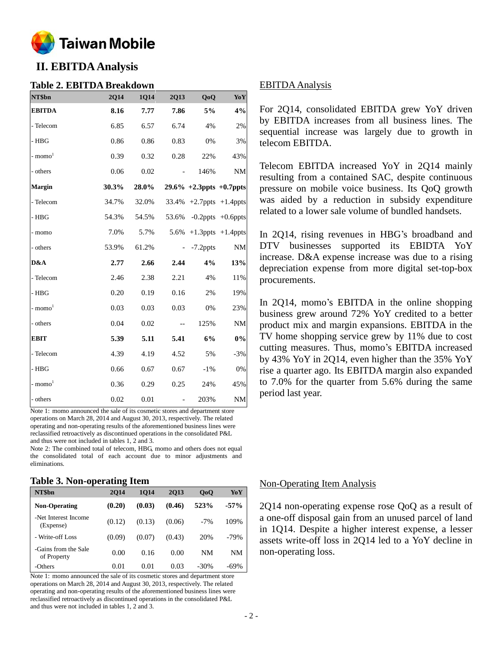

# **II. EBITDA Analysis**

#### **Table 2. EBITDA Breakdown**

| NT\$bn                | 2Q14  | 1Q14  | <b>2Q13</b> | QoQ                            | YoY                     |
|-----------------------|-------|-------|-------------|--------------------------------|-------------------------|
| <b>EBITDA</b>         | 8.16  | 7.77  | 7.86        | 5%                             | 4%                      |
| - Telecom             | 6.85  | 6.57  | 6.74        | 4%                             | 2%                      |
| $-$ HBG               | 0.86  | 0.86  | 0.83        | $0\%$                          | 3%                      |
| $-$ momo <sup>1</sup> | 0.39  | 0.32  | 0.28        | 22%                            | 43%                     |
| - others              | 0.06  | 0.02  |             | 146%                           | <b>NM</b>               |
| Margin                | 30.3% | 28.0% |             | $29.6\% +2.3$ ppts $+0.7$ ppts |                         |
| - Telecom             | 34.7% | 32.0% |             | 33.4% +2.7ppts +1.4ppts        |                         |
| $- HBG$               | 54.3% | 54.5% | 53.6%       |                                | $-0.2$ ppts $+0.6$ ppts |
| - momo                | 7.0%  | 5.7%  | 5.6%        |                                | $+1.3$ ppts $+1.4$ ppts |
| - others              | 53.9% | 61.2% |             | $-7.2$ ppts                    | $\rm{NM}$               |
| D&A                   | 2.77  | 2.66  | 2.44        | 4%                             | 13%                     |
| - Telecom             | 2.46  | 2.38  | 2.21        | 4%                             | 11%                     |
| $-$ HBG               | 0.20  | 0.19  | 0.16        | 2%                             | 19%                     |
| $-$ momo <sup>1</sup> | 0.03  | 0.03  | 0.03        | 0%                             | 23%                     |
| - others              | 0.04  | 0.02  | $- -$       | 125%                           | <b>NM</b>               |
| <b>EBIT</b>           | 5.39  | 5.11  | 5.41        | 6%                             | $0\%$                   |
| - Telecom             | 4.39  | 4.19  | 4.52        | 5%                             | $-3%$                   |
| $-$ HBG               | 0.66  | 0.67  | 0.67        | $-1\%$                         | $0\%$                   |
| - $momo1$             | 0.36  | 0.29  | 0.25        | 24%                            | 45%                     |
| - others              | 0.02  | 0.01  |             | 203%                           | <b>NM</b>               |

Note 1: momo announced the sale of its cosmetic stores and department store operations on March 28, 2014 and August 30, 2013, respectively. The related operating and non-operating results of the aforementioned business lines were reclassified retroactively as discontinued operations in the consolidated P&L and thus were not included in tables 1, 2 and 3.

Note 2: The combined total of telecom, HBG, momo and others does not equal the consolidated total of each account due to minor adjustments and eliminations.

### **Table 3. Non-operating Item**

|                                     | -           |             |        |                |        |
|-------------------------------------|-------------|-------------|--------|----------------|--------|
| NT\$bn                              | <b>2014</b> | <b>1014</b> | 2013   | 0 <sub>0</sub> | YoY    |
| <b>Non-Operating</b>                | (0.20)      | (0.03)      | (0.46) | 523%           | $-57%$ |
| -Net Interest Income<br>(Expense)   | (0.12)      | (0.13)      | (0.06) | $-7%$          | 109%   |
| - Write-off Loss                    | (0.09)      | (0.07)      | (0.43) | 20%            | $-79%$ |
| -Gains from the Sale<br>of Property | 0.00        | 0.16        | 0.00   | NM             | NΜ     |
| -Others                             | 0.01        | 0.01        | 0.03   | -30%           | $-69%$ |

Note 1: momo announced the sale of its cosmetic stores and department store operations on March 28, 2014 and August 30, 2013, respectively. The related operating and non-operating results of the aforementioned business lines were reclassified retroactively as discontinued operations in the consolidated P&L and thus were not included in tables 1, 2 and 3.

### EBITDA Analysis

For 2Q14, consolidated EBITDA grew YoY driven by EBITDA increases from all business lines. The sequential increase was largely due to growth in telecom EBITDA.

Telecom EBITDA increased YoY in 2Q14 mainly resulting from a contained SAC, despite continuous pressure on mobile voice business. Its QoQ growth was aided by a reduction in subsidy expenditure related to a lower sale volume of bundled handsets.

In 2Q14, rising revenues in HBG's broadband and DTV businesses supported its EBIDTA YoY increase. D&A expense increase was due to a rising depreciation expense from more digital set-top-box procurements.

In 2Q14, momo's EBITDA in the online shopping business grew around 72% YoY credited to a better product mix and margin expansions. EBITDA in the TV home shopping service grew by 11% due to cost cutting measures. Thus, momo's EBITDA increased by 43% YoY in 2Q14, even higher than the 35% YoY rise a quarter ago. Its EBITDA margin also expanded to 7.0% for the quarter from 5.6% during the same period last year.

#### Non-Operating Item Analysis

2Q14 non-operating expense rose QoQ as a result of a one-off disposal gain from an unused parcel of land in 1Q14. Despite a higher interest expense, a lesser assets write-off loss in 2Q14 led to a YoY decline in non-operating loss.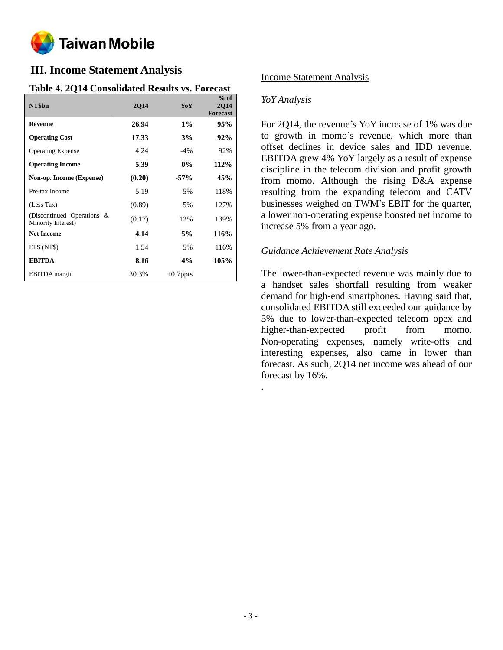

# **III. Income Statement Analysis**

## **Table 4. 2Q14 Consolidated Results vs. Forecast**

| NT\$bn                                           | <b>2Q14</b> | YoY         | $%$ of<br><b>2Q14</b><br><b>Forecast</b> |
|--------------------------------------------------|-------------|-------------|------------------------------------------|
| <b>Revenue</b>                                   | 26.94       | $1\%$       | 95%                                      |
| <b>Operating Cost</b>                            | 17.33       | 3%          | 92%                                      |
| <b>Operating Expense</b>                         | 4.24        | $-4%$       | 92%                                      |
| <b>Operating Income</b>                          | 5.39        | $0\%$       | 112%                                     |
| Non-op. Income (Expense)                         | (0.20)      | $-57%$      | 45%                                      |
| Pre-tax Income                                   | 5.19        | 5%          | 118%                                     |
| (Less Tax)                                       | (0.89)      | 5%          | 127%                                     |
| (Discontinued Operations &<br>Minority Interest) | (0.17)      | 12%         | 139%                                     |
| <b>Net Income</b>                                | 4.14        | 5%          | 116%                                     |
| EPS (NT\$)                                       | 1.54        | 5%          | 116%                                     |
| <b>EBITDA</b>                                    | 8.16        | $4\%$       | 105%                                     |
| <b>EBITDA</b> margin                             | 30.3%       | $+0.7$ ppts |                                          |

## Income Statement Analysis

### *YoY Analysis*

For 2Q14, the revenue's YoY increase of 1% was due to growth in momo's revenue, which more than offset declines in device sales and IDD revenue. EBITDA grew 4% YoY largely as a result of expense discipline in the telecom division and profit growth from momo. Although the rising D&A expense resulting from the expanding telecom and CATV businesses weighed on TWM's EBIT for the quarter, a lower non-operating expense boosted net income to increase 5% from a year ago.

### *Guidance Achievement Rate Analysis*

The lower-than-expected revenue was mainly due to a handset sales shortfall resulting from weaker demand for high-end smartphones. Having said that, consolidated EBITDA still exceeded our guidance by 5% due to lower-than-expected telecom opex and higher-than-expected profit from momo. Non-operating expenses, namely write-offs and interesting expenses, also came in lower than forecast. As such, 2Q14 net income was ahead of our forecast by 16%.

.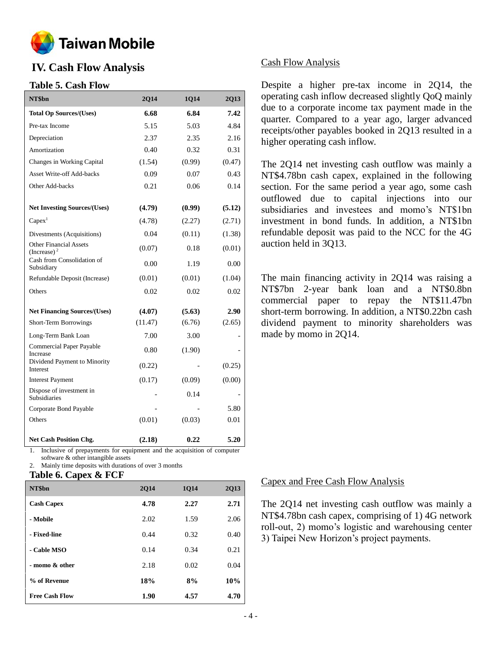

# **IV. Cash Flow Analysis**

### **Table 5. Cash Flow**

| NT\$bn                                          | 2Q14    | 1Q14   | 2Q13   |
|-------------------------------------------------|---------|--------|--------|
| <b>Total Op Sources/(Uses)</b>                  | 6.68    | 6.84   | 7.42   |
| Pre-tax Income                                  | 5.15    | 5.03   | 4.84   |
| Depreciation                                    | 2.37    | 2.35   | 2.16   |
| Amortization                                    | 0.40    | 0.32   | 0.31   |
| Changes in Working Capital                      | (1.54)  | (0.99) | (0.47) |
| <b>Asset Write-off Add-backs</b>                | 0.09    | 0.07   | 0.43   |
| Other Add-backs                                 | 0.21    | 0.06   | 0.14   |
| <b>Net Investing Sources/(Uses)</b>             | (4.79)  | (0.99) | (5.12) |
| Capex <sup>1</sup>                              | (4.78)  | (2.27) | (2.71) |
| Divestments (Acquisitions)                      | 0.04    | (0.11) | (1.38) |
| <b>Other Financial Assets</b><br>(Increase) $2$ | (0.07)  | 0.18   | (0.01) |
| Cash from Consolidation of<br>Subsidiary        | 0.00    | 1.19   | 0.00   |
| Refundable Deposit (Increase)                   | (0.01)  | (0.01) | (1.04) |
| Others                                          | 0.02    | 0.02   | 0.02   |
| <b>Net Financing Sources/(Uses)</b>             | (4.07)  | (5.63) | 2.90   |
| Short-Term Borrowings                           | (11.47) | (6.76) | (2.65) |
| Long-Term Bank Loan                             | 7.00    | 3.00   |        |
| <b>Commercial Paper Payable</b><br>Increase     | 0.80    | (1.90) |        |
| Dividend Payment to Minority<br>Interest        | (0.22)  |        | (0.25) |
| <b>Interest Payment</b>                         | (0.17)  | (0.09) | (0.00) |
| Dispose of investment in<br><b>Subsidiaries</b> |         | 0.14   |        |
| Corporate Bond Payable                          |         |        | 5.80   |
| Others                                          | (0.01)  | (0.03) | 0.01   |
| <b>Net Cash Position Chg.</b>                   | (2.18)  | 0.22   | 5.20   |

1. Inclusive of prepayments for equipment and the acquisition of computer software & other intangible assets

Mainly time deposits with durations of over 3 months

#### **Table 6. Capex & FCF**

| NT\$bn                | <b>2014</b> | <b>1014</b> | <b>2Q13</b> |
|-----------------------|-------------|-------------|-------------|
| <b>Cash Capex</b>     | 4.78        | 2.27        | 2.71        |
| - Mobile              | 2.02        | 1.59        | 2.06        |
| - Fixed-line          | 0.44        | 0.32        | 0.40        |
| - Cable MSO           | 0.14        | 0.34        | 0.21        |
| - momo & other        | 2.18        | 0.02        | 0.04        |
| % of Revenue          | 18%         | 8%          | 10%         |
| <b>Free Cash Flow</b> | 1.90        | 4.57        | 4.70        |

### Cash Flow Analysis

Despite a higher pre-tax income in 2Q14, the operating cash inflow decreased slightly QoQ mainly due to a corporate income tax payment made in the quarter. Compared to a year ago, larger advanced receipts/other payables booked in 2Q13 resulted in a higher operating cash inflow.

The 2Q14 net investing cash outflow was mainly a NT\$4.78bn cash capex, explained in the following section. For the same period a year ago, some cash outflowed due to capital injections into our subsidiaries and investees and momo's NT\$1bn investment in bond funds. In addition, a NT\$1bn refundable deposit was paid to the NCC for the 4G auction held in 3Q13.

The main financing activity in 2Q14 was raising a NT\$7bn 2-year bank loan and a NT\$0.8bn commercial paper to repay the NT\$11.47bn short-term borrowing. In addition, a NT\$0.22bn cash dividend payment to minority shareholders was made by momo in 2Q14.

#### Capex and Free Cash Flow Analysis

The 2Q14 net investing cash outflow was mainly a NT\$4.78bn cash capex, comprising of 1) 4G network roll-out, 2) momo's logistic and warehousing center 3) Taipei New Horizon's project payments.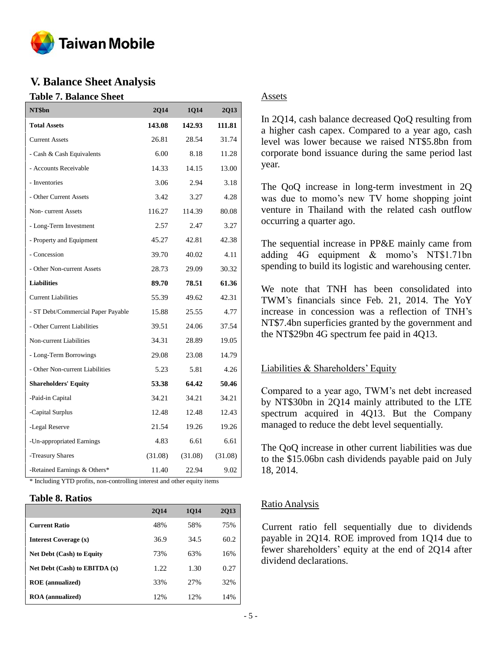

## **V. Balance Sheet Analysis**

### **Table 7. Balance Sheet**

| NT\$bn                                                                                                    | <b>2Q14</b> | 1Q14    | 2Q13    |
|-----------------------------------------------------------------------------------------------------------|-------------|---------|---------|
| <b>Total Assets</b>                                                                                       | 143.08      | 142.93  | 111.81  |
| <b>Current Assets</b>                                                                                     | 26.81       | 28.54   | 31.74   |
| - Cash & Cash Equivalents                                                                                 | 6.00        | 8.18    | 11.28   |
| - Accounts Receivable                                                                                     | 14.33       | 14.15   | 13.00   |
| - Inventories                                                                                             | 3.06        | 2.94    | 3.18    |
| - Other Current Assets                                                                                    | 3.42        | 3.27    | 4.28    |
| Non-current Assets                                                                                        | 116.27      | 114.39  | 80.08   |
| - Long-Term Investment                                                                                    | 2.57        | 2.47    | 3.27    |
| - Property and Equipment                                                                                  | 45.27       | 42.81   | 42.38   |
| - Concession                                                                                              | 39.70       | 40.02   | 4.11    |
| - Other Non-current Assets                                                                                | 28.73       | 29.09   | 30.32   |
| <b>Liabilities</b>                                                                                        | 89.70       | 78.51   | 61.36   |
| <b>Current Liabilities</b>                                                                                | 55.39       | 49.62   | 42.31   |
| - ST Debt/Commercial Paper Payable                                                                        | 15.88       | 25.55   | 4.77    |
| - Other Current Liabilities                                                                               | 39.51       | 24.06   | 37.54   |
| Non-current Liabilities                                                                                   | 34.31       | 28.89   | 19.05   |
| - Long-Term Borrowings                                                                                    | 29.08       | 23.08   | 14.79   |
| - Other Non-current Liabilities                                                                           | 5.23        | 5.81    | 4.26    |
| <b>Shareholders' Equity</b>                                                                               | 53.38       | 64.42   | 50.46   |
| -Paid-in Capital                                                                                          | 34.21       | 34.21   | 34.21   |
| -Capital Surplus                                                                                          | 12.48       | 12.48   | 12.43   |
| -Legal Reserve                                                                                            | 21.54       | 19.26   | 19.26   |
| -Un-appropriated Earnings                                                                                 | 4.83        | 6.61    | 6.61    |
| -Treasury Shares                                                                                          | (31.08)     | (31.08) | (31.08) |
| -Retained Earnings & Others*<br>* Including YTD profits, non-controlling interest and other equity items. | 11.40       | 22.94   | 9.02    |

## **Table 8. Ratios**

|                                   | <b>2014</b> | <b>1014</b> | 2013 |
|-----------------------------------|-------------|-------------|------|
| <b>Current Ratio</b>              | 48%         | 58%         | 75%  |
| <b>Interest Coverage (x)</b>      | 36.9        | 34.5        | 60.2 |
| <b>Net Debt (Cash) to Equity</b>  | 73%         | 63%         | 16%  |
| Net Debt $(Cash)$ to EBITDA $(x)$ | 1.22.       | 1.30        | 0.27 |
| <b>ROE</b> (annualized)           | 33%         | 27%         | 32%  |
| <b>ROA</b> (annualized)           | 12%         | 12%         | 14%  |

### Assets

In 2Q14, cash balance decreased QoQ resulting from a higher cash capex. Compared to a year ago, cash level was lower because we raised NT\$5.8bn from corporate bond issuance during the same period last year.

The QoQ increase in long-term investment in 2Q was due to momo's new TV home shopping joint venture in Thailand with the related cash outflow occurring a quarter ago.

The sequential increase in PP&E mainly came from adding 4G equipment & momo's NT\$1.71bn spending to build its logistic and warehousing center.

We note that TNH has been consolidated into TWM's financials since Feb. 21, 2014. The YoY increase in concession was a reflection of TNH's NT\$7.4bn superficies granted by the government and the NT\$29bn 4G spectrum fee paid in 4Q13.

## Liabilities & Shareholders' Equity

Compared to a year ago, TWM's net debt increased by NT\$30bn in 2Q14 mainly attributed to the LTE spectrum acquired in 4Q13. But the Company managed to reduce the debt level sequentially.

The QoQ increase in other current liabilities was due to the \$15.06bn cash dividends payable paid on July 18, 2014.

## Ratio Analysis

Current ratio fell sequentially due to dividends payable in 2Q14. ROE improved from 1Q14 due to fewer shareholders' equity at the end of 2Q14 after dividend declarations.